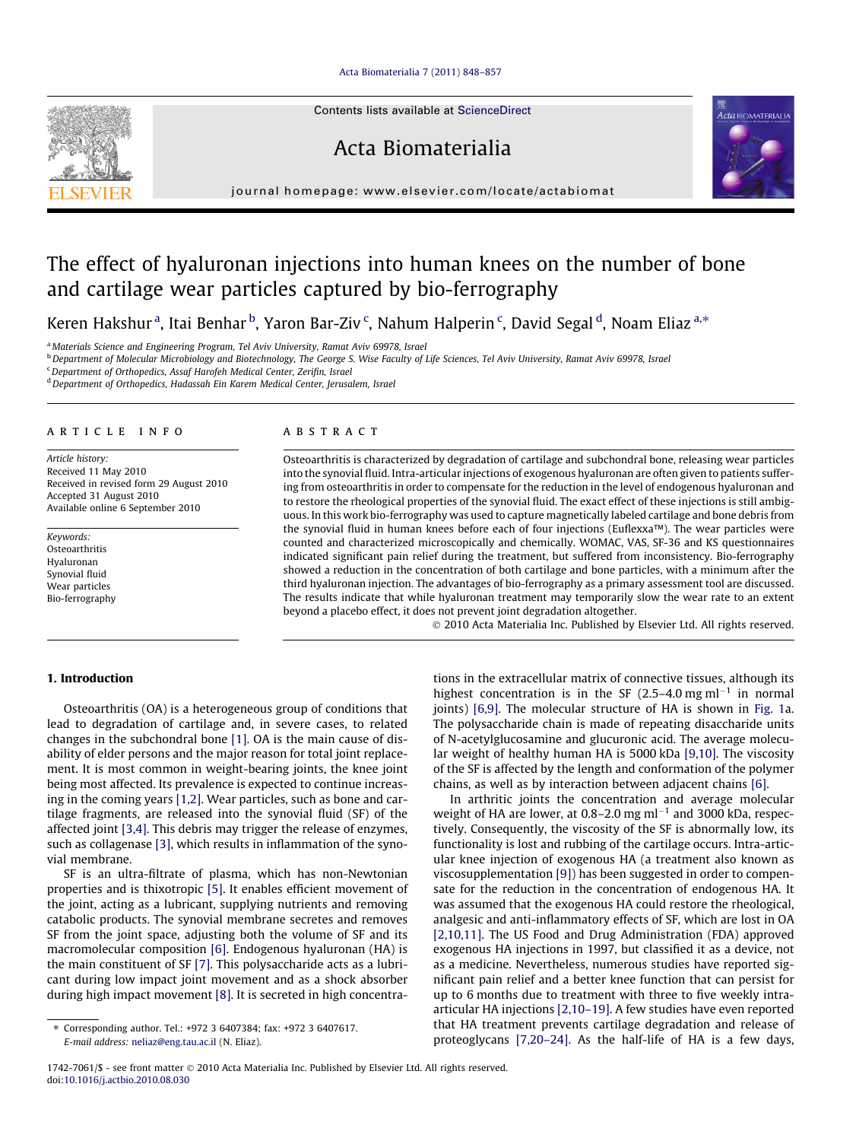## [Acta Biomaterialia 7 \(2011\) 848–857](http://dx.doi.org/10.1016/j.actbio.2010.08.030)

Contents lists available at [ScienceDirect](http://www.sciencedirect.com/science/journal/17427061)

Acta Biomaterialia



journal homepage: [www.elsevier.com/locate/actabiomat](http://www.elsevier.com/locate/actabiomat)

# The effect of hyaluronan injections into human knees on the number of bone and cartilage wear particles captured by bio-ferrography

Keren Hakshur <sup>a</sup>, Itai Benhar <sup>b</sup>, Yaron Bar-Ziv <sup>c</sup>, Nahum Halperin <sup>c</sup>, David Segal <sup>d</sup>, Noam Eliaz <sup>a,</sup>\*

<sup>a</sup> Materials Science and Engineering Program, Tel Aviv University, Ramat Aviv 69978, Israel

<sup>b</sup> Department of Molecular Microbiology and Biotechnology, The George S. Wise Faculty of Life Sciences, Tel Aviv University, Ramat Aviv 69978, Israel

<sup>c</sup> Department of Orthopedics, Assaf Harofeh Medical Center, Zerifin, Israel

<sup>d</sup> Department of Orthopedics, Hadassah Ein Karem Medical Center, Jerusalem, Israel

### article info

Article history: Received 11 May 2010 Received in revised form 29 August 2010 Accepted 31 August 2010 Available online 6 September 2010

Keywords: **Osteoarthritis** Hyaluronan Synovial fluid Wear particles Bio-ferrography

# **ABSTRACT**

Osteoarthritis is characterized by degradation of cartilage and subchondral bone, releasing wear particles into the synovial fluid. Intra-articular injections of exogenous hyaluronan are often given to patients suffering from osteoarthritis in order to compensate for the reduction in the level of endogenous hyaluronan and to restore the rheological properties of the synovial fluid. The exact effect of these injections is still ambiguous. In this work bio-ferrography was used to capture magnetically labeled cartilage and bone debris from the synovial fluid in human knees before each of four injections (Euflexxa™). The wear particles were counted and characterized microscopically and chemically. WOMAC, VAS, SF-36 and KS questionnaires indicated significant pain relief during the treatment, but suffered from inconsistency. Bio-ferrography showed a reduction in the concentration of both cartilage and bone particles, with a minimum after the third hyaluronan injection. The advantages of bio-ferrography as a primary assessment tool are discussed. The results indicate that while hyaluronan treatment may temporarily slow the wear rate to an extent beyond a placebo effect, it does not prevent joint degradation altogether.

- 2010 Acta Materialia Inc. Published by Elsevier Ltd. All rights reserved.

# 1. Introduction

Osteoarthritis (OA) is a heterogeneous group of conditions that lead to degradation of cartilage and, in severe cases, to related changes in the subchondral bone [\[1\].](#page-8-0) OA is the main cause of disability of elder persons and the major reason for total joint replacement. It is most common in weight-bearing joints, the knee joint being most affected. Its prevalence is expected to continue increasing in the coming years [\[1,2\].](#page-8-0) Wear particles, such as bone and cartilage fragments, are released into the synovial fluid (SF) of the affected joint [\[3,4\]](#page-8-0). This debris may trigger the release of enzymes, such as collagenase [\[3\],](#page-8-0) which results in inflammation of the synovial membrane.

SF is an ultra-filtrate of plasma, which has non-Newtonian properties and is thixotropic [\[5\]](#page-8-0). It enables efficient movement of the joint, acting as a lubricant, supplying nutrients and removing catabolic products. The synovial membrane secretes and removes SF from the joint space, adjusting both the volume of SF and its macromolecular composition [\[6\]](#page-8-0). Endogenous hyaluronan (HA) is the main constituent of SF [\[7\]](#page-8-0). This polysaccharide acts as a lubricant during low impact joint movement and as a shock absorber during high impact movement [\[8\].](#page-8-0) It is secreted in high concentra-

tions in the extracellular matrix of connective tissues, although its highest concentration is in the SF  $(2.5-4.0 \text{ mg ml}^{-1})$  in normal joints) [\[6,9\].](#page-8-0) The molecular structure of HA is shown in [Fig. 1a](#page-1-0). The polysaccharide chain is made of repeating disaccharide units of N-acetylglucosamine and glucuronic acid. The average molecular weight of healthy human HA is 5000 kDa [\[9,10\]](#page-8-0). The viscosity of the SF is affected by the length and conformation of the polymer chains, as well as by interaction between adjacent chains [\[6\].](#page-8-0)

In arthritic joints the concentration and average molecular weight of HA are lower, at  $0.8-2.0$  mg ml<sup> $-1$ </sup> and 3000 kDa, respectively. Consequently, the viscosity of the SF is abnormally low, its functionality is lost and rubbing of the cartilage occurs. Intra-articular knee injection of exogenous HA (a treatment also known as viscosupplementation [\[9\]\)](#page-8-0) has been suggested in order to compensate for the reduction in the concentration of endogenous HA. It was assumed that the exogenous HA could restore the rheological, analgesic and anti-inflammatory effects of SF, which are lost in OA [\[2,10,11\]](#page-8-0). The US Food and Drug Administration (FDA) approved exogenous HA injections in 1997, but classified it as a device, not as a medicine. Nevertheless, numerous studies have reported significant pain relief and a better knee function that can persist for up to 6 months due to treatment with three to five weekly intraarticular HA injections [\[2,10–19\]](#page-8-0). A few studies have even reported that HA treatment prevents cartilage degradation and release of proteoglycans [\[7,20–24\].](#page-8-0) As the half-life of HA is a few days,



<sup>⇑</sup> Corresponding author. Tel.: +972 3 6407384; fax: +972 3 6407617. E-mail address: [neliaz@eng.tau.ac.il](mailto:neliaz@eng.tau.ac.il) (N. Eliaz).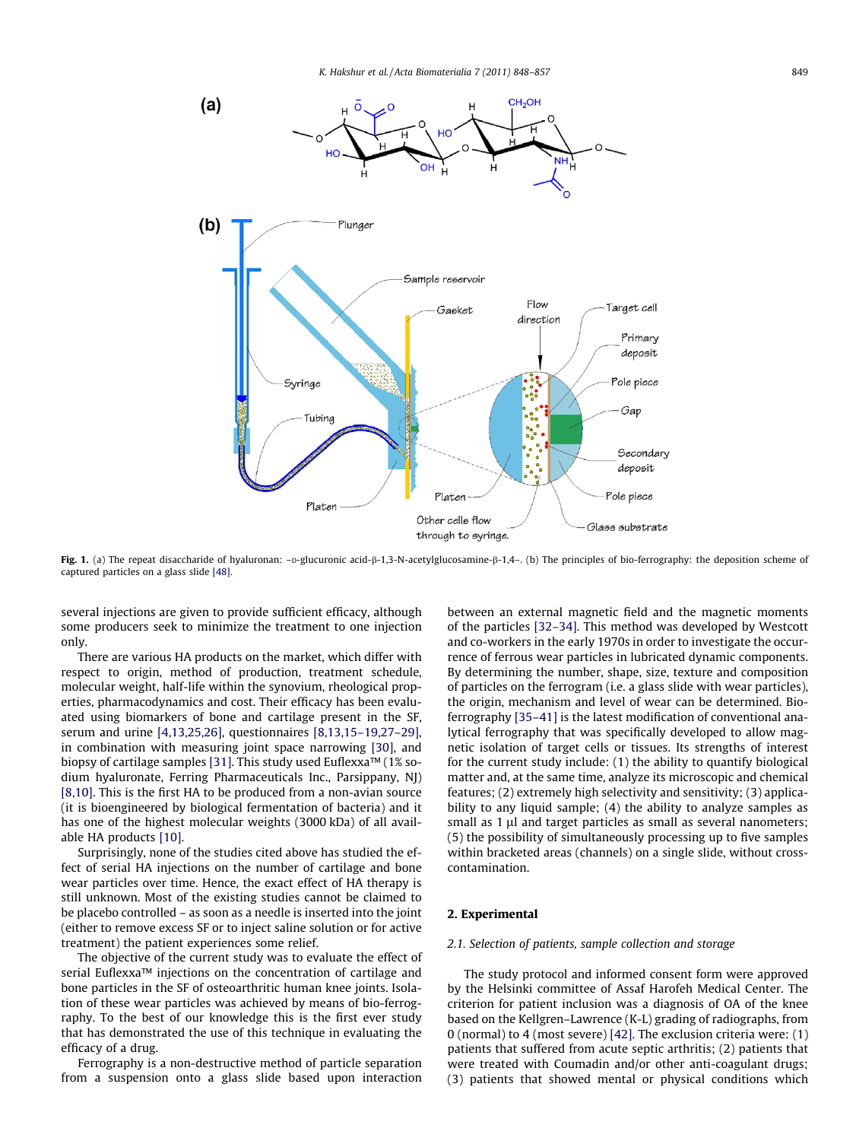<span id="page-1-0"></span>

Fig. 1. (a) The repeat disaccharide of hyaluronan: -D-glucuronic acid- $\beta$ -1,3-N-acetylglucosamine- $\beta$ -1,4-. (b) The principles of bio-ferrography: the deposition scheme of captured particles on a glass slide [\[48\]](#page-9-0).

several injections are given to provide sufficient efficacy, although some producers seek to minimize the treatment to one injection only.

There are various HA products on the market, which differ with respect to origin, method of production, treatment schedule, molecular weight, half-life within the synovium, rheological properties, pharmacodynamics and cost. Their efficacy has been evaluated using biomarkers of bone and cartilage present in the SF, serum and urine [\[4,13,25,26\]](#page-8-0), questionnaires [\[8,13,15–19,27–29\],](#page-8-0) in combination with measuring joint space narrowing [\[30\],](#page-9-0) and biopsy of cartilage samples [\[31\]](#page-9-0). This study used Euflexxa™ (1% sodium hyaluronate, Ferring Pharmaceuticals Inc., Parsippany, NJ) [\[8,10\].](#page-8-0) This is the first HA to be produced from a non-avian source (it is bioengineered by biological fermentation of bacteria) and it has one of the highest molecular weights (3000 kDa) of all available HA products [\[10\]](#page-8-0).

Surprisingly, none of the studies cited above has studied the effect of serial HA injections on the number of cartilage and bone wear particles over time. Hence, the exact effect of HA therapy is still unknown. Most of the existing studies cannot be claimed to be placebo controlled – as soon as a needle is inserted into the joint (either to remove excess SF or to inject saline solution or for active treatment) the patient experiences some relief.

The objective of the current study was to evaluate the effect of serial Euflexxa™ injections on the concentration of cartilage and bone particles in the SF of osteoarthritic human knee joints. Isolation of these wear particles was achieved by means of bio-ferrography. To the best of our knowledge this is the first ever study that has demonstrated the use of this technique in evaluating the efficacy of a drug.

Ferrography is a non-destructive method of particle separation from a suspension onto a glass slide based upon interaction between an external magnetic field and the magnetic moments of the particles [\[32–34\].](#page-9-0) This method was developed by Westcott and co-workers in the early 1970s in order to investigate the occurrence of ferrous wear particles in lubricated dynamic components. By determining the number, shape, size, texture and composition of particles on the ferrogram (i.e. a glass slide with wear particles), the origin, mechanism and level of wear can be determined. Bioferrography [\[35–41\]](#page-9-0) is the latest modification of conventional analytical ferrography that was specifically developed to allow magnetic isolation of target cells or tissues. Its strengths of interest for the current study include: (1) the ability to quantify biological matter and, at the same time, analyze its microscopic and chemical features; (2) extremely high selectivity and sensitivity; (3) applicability to any liquid sample; (4) the ability to analyze samples as small as  $1 \mu l$  and target particles as small as several nanometers; (5) the possibility of simultaneously processing up to five samples within bracketed areas (channels) on a single slide, without crosscontamination.

### 2. Experimental

#### 2.1. Selection of patients, sample collection and storage

The study protocol and informed consent form were approved by the Helsinki committee of Assaf Harofeh Medical Center. The criterion for patient inclusion was a diagnosis of OA of the knee based on the Kellgren–Lawrence (K-L) grading of radiographs, from 0 (normal) to 4 (most severe) [\[42\]](#page-9-0). The exclusion criteria were: (1) patients that suffered from acute septic arthritis; (2) patients that were treated with Coumadin and/or other anti-coagulant drugs; (3) patients that showed mental or physical conditions which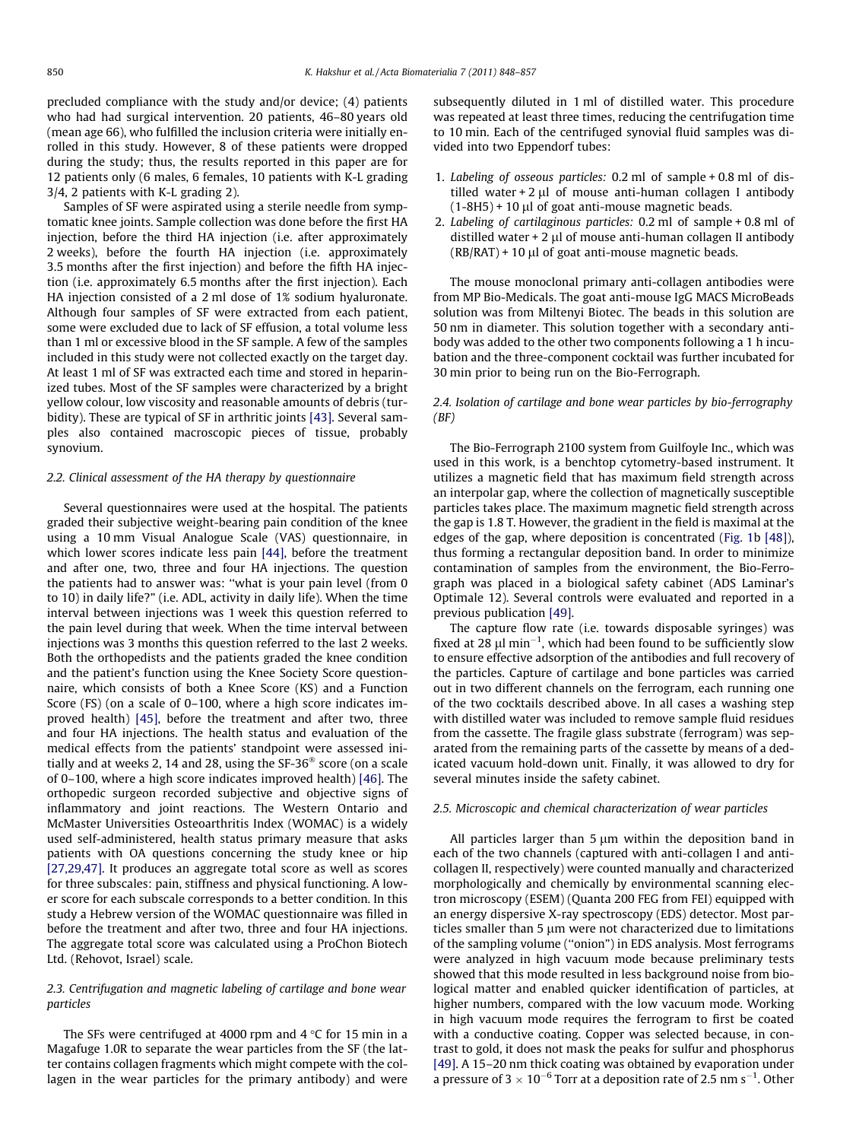precluded compliance with the study and/or device; (4) patients who had had surgical intervention. 20 patients, 46–80 years old (mean age 66), who fulfilled the inclusion criteria were initially enrolled in this study. However, 8 of these patients were dropped during the study; thus, the results reported in this paper are for 12 patients only (6 males, 6 females, 10 patients with K-L grading 3/4, 2 patients with K-L grading 2).

Samples of SF were aspirated using a sterile needle from symptomatic knee joints. Sample collection was done before the first HA injection, before the third HA injection (i.e. after approximately 2 weeks), before the fourth HA injection (i.e. approximately 3.5 months after the first injection) and before the fifth HA injection (i.e. approximately 6.5 months after the first injection). Each HA injection consisted of a 2 ml dose of 1% sodium hyaluronate. Although four samples of SF were extracted from each patient, some were excluded due to lack of SF effusion, a total volume less than 1 ml or excessive blood in the SF sample. A few of the samples included in this study were not collected exactly on the target day. At least 1 ml of SF was extracted each time and stored in heparinized tubes. Most of the SF samples were characterized by a bright yellow colour, low viscosity and reasonable amounts of debris (turbidity). These are typical of SF in arthritic joints [\[43\].](#page-9-0) Several samples also contained macroscopic pieces of tissue, probably synovium.

#### 2.2. Clinical assessment of the HA therapy by questionnaire

Several questionnaires were used at the hospital. The patients graded their subjective weight-bearing pain condition of the knee using a 10 mm Visual Analogue Scale (VAS) questionnaire, in which lower scores indicate less pain [\[44\],](#page-9-0) before the treatment and after one, two, three and four HA injections. The question the patients had to answer was: ''what is your pain level (from 0 to 10) in daily life?" (i.e. ADL, activity in daily life). When the time interval between injections was 1 week this question referred to the pain level during that week. When the time interval between injections was 3 months this question referred to the last 2 weeks. Both the orthopedists and the patients graded the knee condition and the patient's function using the Knee Society Score questionnaire, which consists of both a Knee Score (KS) and a Function Score (FS) (on a scale of 0–100, where a high score indicates improved health) [\[45\],](#page-9-0) before the treatment and after two, three and four HA injections. The health status and evaluation of the medical effects from the patients' standpoint were assessed initially and at weeks 2, 14 and 28, using the SF-36 $\degree$  score (on a scale of 0–100, where a high score indicates improved health) [\[46\]](#page-9-0). The orthopedic surgeon recorded subjective and objective signs of inflammatory and joint reactions. The Western Ontario and McMaster Universities Osteoarthritis Index (WOMAC) is a widely used self-administered, health status primary measure that asks patients with OA questions concerning the study knee or hip [\[27,29,47\].](#page-9-0) It produces an aggregate total score as well as scores for three subscales: pain, stiffness and physical functioning. A lower score for each subscale corresponds to a better condition. In this study a Hebrew version of the WOMAC questionnaire was filled in before the treatment and after two, three and four HA injections. The aggregate total score was calculated using a ProChon Biotech Ltd. (Rehovot, Israel) scale.

# 2.3. Centrifugation and magnetic labeling of cartilage and bone wear particles

The SFs were centrifuged at 4000 rpm and  $4^{\circ}$ C for 15 min in a Magafuge 1.0R to separate the wear particles from the SF (the latter contains collagen fragments which might compete with the collagen in the wear particles for the primary antibody) and were subsequently diluted in 1 ml of distilled water. This procedure was repeated at least three times, reducing the centrifugation time to 10 min. Each of the centrifuged synovial fluid samples was divided into two Eppendorf tubes:

- 1. Labeling of osseous particles: 0.2 ml of sample + 0.8 ml of distilled water  $+ 2 \mu l$  of mouse anti-human collagen I antibody  $(1-8H5) + 10$  µl of goat anti-mouse magnetic beads.
- 2. Labeling of cartilaginous particles: 0.2 ml of sample + 0.8 ml of distilled water  $+ 2$  µl of mouse anti-human collagen II antibody  $(RB/RATION) + 10 \mu l$  of goat anti-mouse magnetic beads.

The mouse monoclonal primary anti-collagen antibodies were from MP Bio-Medicals. The goat anti-mouse IgG MACS MicroBeads solution was from Miltenyi Biotec. The beads in this solution are 50 nm in diameter. This solution together with a secondary antibody was added to the other two components following a 1 h incubation and the three-component cocktail was further incubated for 30 min prior to being run on the Bio-Ferrograph.

# 2.4. Isolation of cartilage and bone wear particles by bio-ferrography  $(BF)$

The Bio-Ferrograph 2100 system from Guilfoyle Inc., which was used in this work, is a benchtop cytometry-based instrument. It utilizes a magnetic field that has maximum field strength across an interpolar gap, where the collection of magnetically susceptible particles takes place. The maximum magnetic field strength across the gap is 1.8 T. However, the gradient in the field is maximal at the edges of the gap, where deposition is concentrated ([Fig. 1b](#page-1-0) [\[48\]\)](#page-9-0), thus forming a rectangular deposition band. In order to minimize contamination of samples from the environment, the Bio-Ferrograph was placed in a biological safety cabinet (ADS Laminar's Optimale 12). Several controls were evaluated and reported in a previous publication [\[49\].](#page-9-0)

The capture flow rate (i.e. towards disposable syringes) was fixed at 28  $\mu$ l min<sup>-1</sup>, which had been found to be sufficiently slow to ensure effective adsorption of the antibodies and full recovery of the particles. Capture of cartilage and bone particles was carried out in two different channels on the ferrogram, each running one of the two cocktails described above. In all cases a washing step with distilled water was included to remove sample fluid residues from the cassette. The fragile glass substrate (ferrogram) was separated from the remaining parts of the cassette by means of a dedicated vacuum hold-down unit. Finally, it was allowed to dry for several minutes inside the safety cabinet.

## 2.5. Microscopic and chemical characterization of wear particles

All particles larger than  $5 \mu m$  within the deposition band in each of the two channels (captured with anti-collagen I and anticollagen II, respectively) were counted manually and characterized morphologically and chemically by environmental scanning electron microscopy (ESEM) (Quanta 200 FEG from FEI) equipped with an energy dispersive X-ray spectroscopy (EDS) detector. Most particles smaller than 5 µm were not characterized due to limitations of the sampling volume (''onion") in EDS analysis. Most ferrograms were analyzed in high vacuum mode because preliminary tests showed that this mode resulted in less background noise from biological matter and enabled quicker identification of particles, at higher numbers, compared with the low vacuum mode. Working in high vacuum mode requires the ferrogram to first be coated with a conductive coating. Copper was selected because, in contrast to gold, it does not mask the peaks for sulfur and phosphorus [\[49\]](#page-9-0). A 15–20 nm thick coating was obtained by evaporation under a pressure of 3  $\times$  10<sup>-6</sup> Torr at a deposition rate of 2.5 nm s<sup>-1</sup>. Other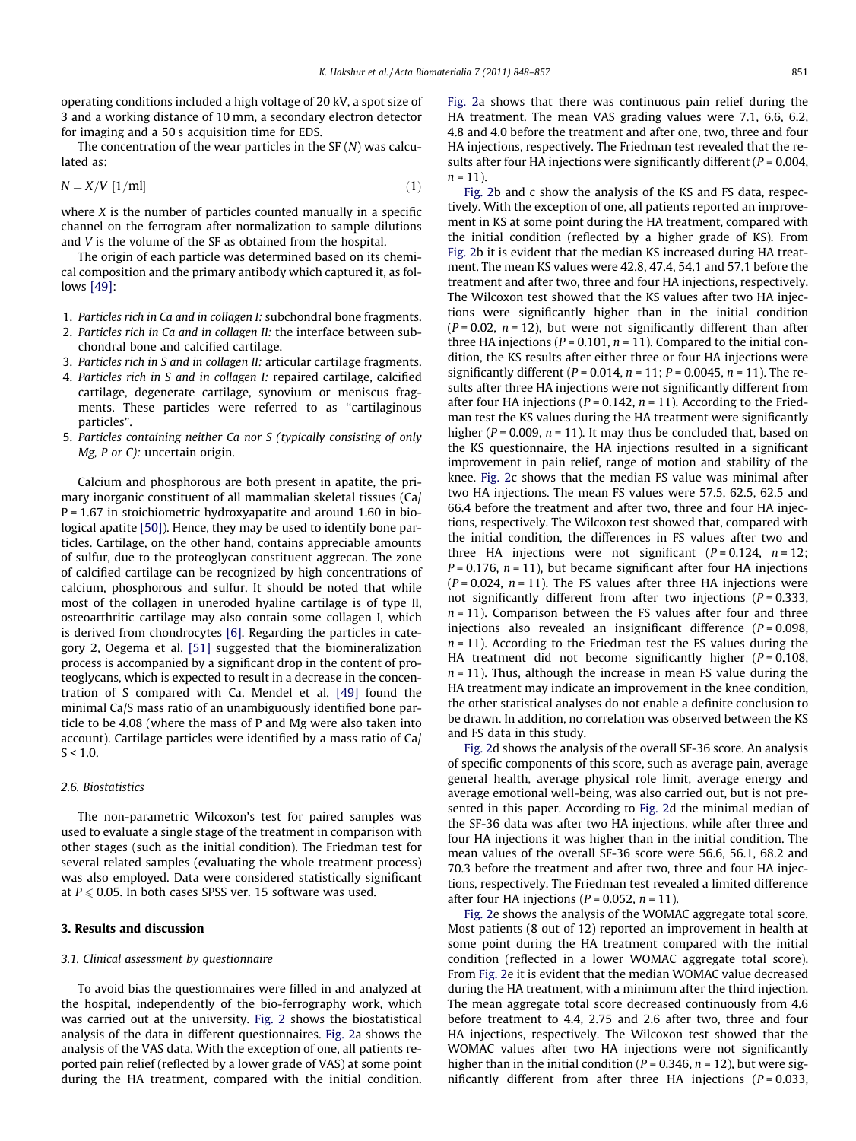operating conditions included a high voltage of 20 kV, a spot size of 3 and a working distance of 10 mm, a secondary electron detector for imaging and a 50 s acquisition time for EDS.

The concentration of the wear particles in the  $SF(N)$  was calculated as:

$$
N = X/V \, [1/ml] \tag{1}
$$

where  $X$  is the number of particles counted manually in a specific channel on the ferrogram after normalization to sample dilutions and V is the volume of the SF as obtained from the hospital.

The origin of each particle was determined based on its chemical composition and the primary antibody which captured it, as follows [\[49\]](#page-9-0):

- 1. Particles rich in Ca and in collagen I: subchondral bone fragments.
- 2. Particles rich in Ca and in collagen II: the interface between subchondral bone and calcified cartilage.
- 3. Particles rich in S and in collagen II: articular cartilage fragments.
- 4. Particles rich in S and in collagen I: repaired cartilage, calcified cartilage, degenerate cartilage, synovium or meniscus fragments. These particles were referred to as ''cartilaginous particles".
- 5. Particles containing neither Ca nor S (typically consisting of only Mg, P or C): uncertain origin.

Calcium and phosphorous are both present in apatite, the primary inorganic constituent of all mammalian skeletal tissues (Ca/  $P = 1.67$  in stoichiometric hydroxyapatite and around 1.60 in bio-logical apatite [\[50\]\)](#page-9-0). Hence, they may be used to identify bone particles. Cartilage, on the other hand, contains appreciable amounts of sulfur, due to the proteoglycan constituent aggrecan. The zone of calcified cartilage can be recognized by high concentrations of calcium, phosphorous and sulfur. It should be noted that while most of the collagen in uneroded hyaline cartilage is of type II, osteoarthritic cartilage may also contain some collagen I, which is derived from chondrocytes [\[6\]](#page-8-0). Regarding the particles in category 2, Oegema et al. [\[51\]](#page-9-0) suggested that the biomineralization process is accompanied by a significant drop in the content of proteoglycans, which is expected to result in a decrease in the concentration of S compared with Ca. Mendel et al. [\[49\]](#page-9-0) found the minimal Ca/S mass ratio of an unambiguously identified bone particle to be 4.08 (where the mass of P and Mg were also taken into account). Cartilage particles were identified by a mass ratio of Ca/  $S < 1.0$ .

## 2.6. Biostatistics

The non-parametric Wilcoxon's test for paired samples was used to evaluate a single stage of the treatment in comparison with other stages (such as the initial condition). The Friedman test for several related samples (evaluating the whole treatment process) was also employed. Data were considered statistically significant at  $P \le 0.05$ . In both cases SPSS ver. 15 software was used.

# 3. Results and discussion

### 3.1. Clinical assessment by questionnaire

To avoid bias the questionnaires were filled in and analyzed at the hospital, independently of the bio-ferrography work, which was carried out at the university. [Fig. 2](#page-4-0) shows the biostatistical analysis of the data in different questionnaires. [Fig. 2](#page-4-0)a shows the analysis of the VAS data. With the exception of one, all patients reported pain relief (reflected by a lower grade of VAS) at some point during the HA treatment, compared with the initial condition. [Fig. 2](#page-4-0)a shows that there was continuous pain relief during the HA treatment. The mean VAS grading values were 7.1, 6.6, 6.2, 4.8 and 4.0 before the treatment and after one, two, three and four HA injections, respectively. The Friedman test revealed that the results after four HA injections were significantly different ( $P = 0.004$ ,  $n = 11$ .

[Fig. 2b](#page-4-0) and c show the analysis of the KS and FS data, respectively. With the exception of one, all patients reported an improvement in KS at some point during the HA treatment, compared with the initial condition (reflected by a higher grade of KS). From [Fig. 2b](#page-4-0) it is evident that the median KS increased during HA treatment. The mean KS values were 42.8, 47.4, 54.1 and 57.1 before the treatment and after two, three and four HA injections, respectively. The Wilcoxon test showed that the KS values after two HA injections were significantly higher than in the initial condition  $(P = 0.02, n = 12)$ , but were not significantly different than after three HA injections ( $P = 0.101$ ,  $n = 11$ ). Compared to the initial condition, the KS results after either three or four HA injections were significantly different ( $P = 0.014$ ,  $n = 11$ ;  $P = 0.0045$ ,  $n = 11$ ). The results after three HA injections were not significantly different from after four HA injections ( $P = 0.142$ ,  $n = 11$ ). According to the Friedman test the KS values during the HA treatment were significantly higher ( $P = 0.009$ ,  $n = 11$ ). It may thus be concluded that, based on the KS questionnaire, the HA injections resulted in a significant improvement in pain relief, range of motion and stability of the knee. [Fig. 2c](#page-4-0) shows that the median FS value was minimal after two HA injections. The mean FS values were 57.5, 62.5, 62.5 and 66.4 before the treatment and after two, three and four HA injections, respectively. The Wilcoxon test showed that, compared with the initial condition, the differences in FS values after two and three HA injections were not significant  $(P = 0.124, n = 12;$  $P = 0.176$ ,  $n = 11$ ), but became significant after four HA injections  $(P = 0.024, n = 11)$ . The FS values after three HA injections were not significantly different from after two injections ( $P = 0.333$ ,  $n = 11$ ). Comparison between the FS values after four and three injections also revealed an insignificant difference  $(P = 0.098,$  $n = 11$ ). According to the Friedman test the FS values during the HA treatment did not become significantly higher  $(P = 0.108$ ,  $n = 11$ ). Thus, although the increase in mean FS value during the HA treatment may indicate an improvement in the knee condition, the other statistical analyses do not enable a definite conclusion to be drawn. In addition, no correlation was observed between the KS and FS data in this study.

[Fig. 2d](#page-4-0) shows the analysis of the overall SF-36 score. An analysis of specific components of this score, such as average pain, average general health, average physical role limit, average energy and average emotional well-being, was also carried out, but is not presented in this paper. According to [Fig. 2d](#page-4-0) the minimal median of the SF-36 data was after two HA injections, while after three and four HA injections it was higher than in the initial condition. The mean values of the overall SF-36 score were 56.6, 56.1, 68.2 and 70.3 before the treatment and after two, three and four HA injections, respectively. The Friedman test revealed a limited difference after four HA injections ( $P = 0.052$ ,  $n = 11$ ).

[Fig. 2](#page-4-0)e shows the analysis of the WOMAC aggregate total score. Most patients (8 out of 12) reported an improvement in health at some point during the HA treatment compared with the initial condition (reflected in a lower WOMAC aggregate total score). From [Fig. 2](#page-4-0)e it is evident that the median WOMAC value decreased during the HA treatment, with a minimum after the third injection. The mean aggregate total score decreased continuously from 4.6 before treatment to 4.4, 2.75 and 2.6 after two, three and four HA injections, respectively. The Wilcoxon test showed that the WOMAC values after two HA injections were not significantly higher than in the initial condition ( $P = 0.346$ ,  $n = 12$ ), but were significantly different from after three HA injections ( $P = 0.033$ ,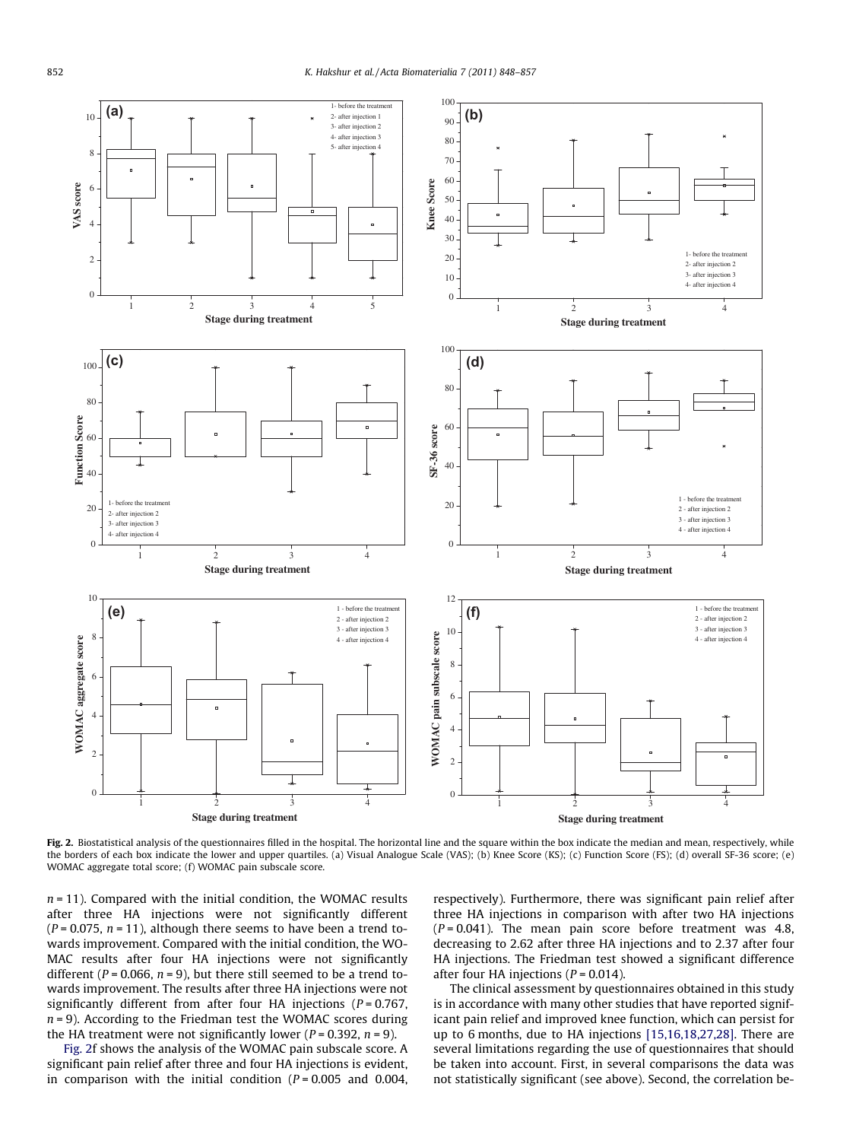<span id="page-4-0"></span>

Fig. 2. Biostatistical analysis of the questionnaires filled in the hospital. The horizontal line and the square within the box indicate the median and mean, respectively, while the borders of each box indicate the lower and upper quartiles. (a) Visual Analogue Scale (VAS); (b) Knee Score (KS); (c) Function Score (FS); (d) overall SF-36 score; (e) WOMAC aggregate total score; (f) WOMAC pain subscale score.

 $n = 11$ ). Compared with the initial condition, the WOMAC results after three HA injections were not significantly different  $(P = 0.075, n = 11)$ , although there seems to have been a trend towards improvement. Compared with the initial condition, the WO-MAC results after four HA injections were not significantly different ( $P = 0.066$ ,  $n = 9$ ), but there still seemed to be a trend towards improvement. The results after three HA injections were not significantly different from after four HA injections ( $P = 0.767$ ,  $n = 9$ ). According to the Friedman test the WOMAC scores during the HA treatment were not significantly lower ( $P = 0.392$ ,  $n = 9$ ).

Fig. 2f shows the analysis of the WOMAC pain subscale score. A significant pain relief after three and four HA injections is evident, in comparison with the initial condition  $(P = 0.005$  and 0.004,

respectively). Furthermore, there was significant pain relief after three HA injections in comparison with after two HA injections  $(P = 0.041)$ . The mean pain score before treatment was 4.8, decreasing to 2.62 after three HA injections and to 2.37 after four HA injections. The Friedman test showed a significant difference after four HA injections ( $P = 0.014$ ).

The clinical assessment by questionnaires obtained in this study is in accordance with many other studies that have reported significant pain relief and improved knee function, which can persist for up to 6 months, due to HA injections [\[15,16,18,27,28\].](#page-8-0) There are several limitations regarding the use of questionnaires that should be taken into account. First, in several comparisons the data was not statistically significant (see above). Second, the correlation be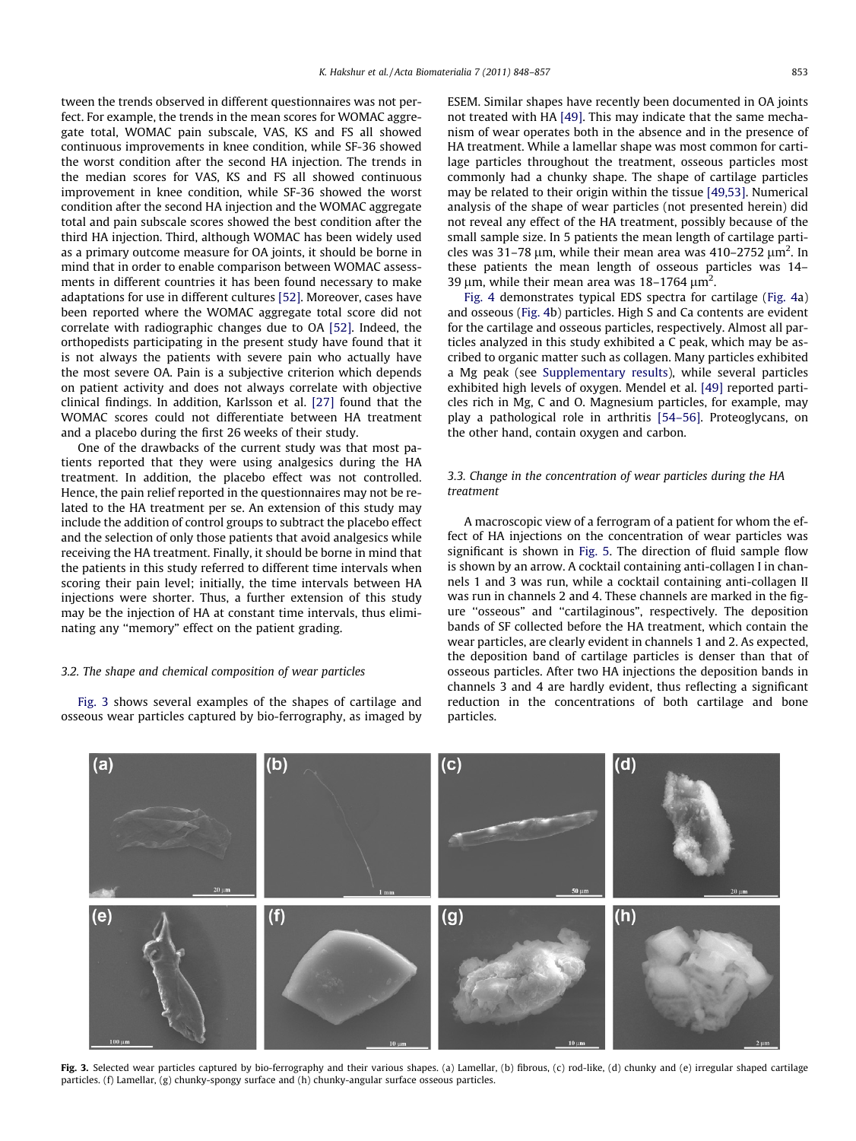tween the trends observed in different questionnaires was not perfect. For example, the trends in the mean scores for WOMAC aggregate total, WOMAC pain subscale, VAS, KS and FS all showed continuous improvements in knee condition, while SF-36 showed the worst condition after the second HA injection. The trends in the median scores for VAS, KS and FS all showed continuous improvement in knee condition, while SF-36 showed the worst condition after the second HA injection and the WOMAC aggregate total and pain subscale scores showed the best condition after the third HA injection. Third, although WOMAC has been widely used as a primary outcome measure for OA joints, it should be borne in mind that in order to enable comparison between WOMAC assessments in different countries it has been found necessary to make adaptations for use in different cultures [\[52\]](#page-9-0). Moreover, cases have been reported where the WOMAC aggregate total score did not correlate with radiographic changes due to OA [\[52\].](#page-9-0) Indeed, the orthopedists participating in the present study have found that it is not always the patients with severe pain who actually have the most severe OA. Pain is a subjective criterion which depends on patient activity and does not always correlate with objective clinical findings. In addition, Karlsson et al. [\[27\]](#page-9-0) found that the WOMAC scores could not differentiate between HA treatment and a placebo during the first 26 weeks of their study.

One of the drawbacks of the current study was that most patients reported that they were using analgesics during the HA treatment. In addition, the placebo effect was not controlled. Hence, the pain relief reported in the questionnaires may not be related to the HA treatment per se. An extension of this study may include the addition of control groups to subtract the placebo effect and the selection of only those patients that avoid analgesics while receiving the HA treatment. Finally, it should be borne in mind that the patients in this study referred to different time intervals when scoring their pain level; initially, the time intervals between HA injections were shorter. Thus, a further extension of this study may be the injection of HA at constant time intervals, thus eliminating any ''memory" effect on the patient grading.

## 3.2. The shape and chemical composition of wear particles

Fig. 3 shows several examples of the shapes of cartilage and osseous wear particles captured by bio-ferrography, as imaged by ESEM. Similar shapes have recently been documented in OA joints not treated with HA [\[49\].](#page-9-0) This may indicate that the same mechanism of wear operates both in the absence and in the presence of HA treatment. While a lamellar shape was most common for cartilage particles throughout the treatment, osseous particles most commonly had a chunky shape. The shape of cartilage particles may be related to their origin within the tissue [\[49,53\].](#page-9-0) Numerical analysis of the shape of wear particles (not presented herein) did not reveal any effect of the HA treatment, possibly because of the small sample size. In 5 patients the mean length of cartilage particles was 31–78  $\mu$ m, while their mean area was 410–2752  $\mu$ m<sup>2</sup>. In these patients the mean length of osseous particles was 14– 39  $\mu$ m, while their mean area was 18–1764  $\mu$ m<sup>2</sup>.

[Fig. 4](#page-6-0) demonstrates typical EDS spectra for cartilage [\(Fig. 4](#page-6-0)a) and osseous ([Fig. 4](#page-6-0)b) particles. High S and Ca contents are evident for the cartilage and osseous particles, respectively. Almost all particles analyzed in this study exhibited a C peak, which may be ascribed to organic matter such as collagen. Many particles exhibited a Mg peak (see Supplementary results), while several particles exhibited high levels of oxygen. Mendel et al. [\[49\]](#page-9-0) reported particles rich in Mg, C and O. Magnesium particles, for example, may play a pathological role in arthritis [\[54–56\].](#page-9-0) Proteoglycans, on the other hand, contain oxygen and carbon.

# 3.3. Change in the concentration of wear particles during the HA treatment

A macroscopic view of a ferrogram of a patient for whom the effect of HA injections on the concentration of wear particles was significant is shown in [Fig. 5](#page-6-0). The direction of fluid sample flow is shown by an arrow. A cocktail containing anti-collagen I in channels 1 and 3 was run, while a cocktail containing anti-collagen II was run in channels 2 and 4. These channels are marked in the figure ''osseous" and ''cartilaginous", respectively. The deposition bands of SF collected before the HA treatment, which contain the wear particles, are clearly evident in channels 1 and 2. As expected, the deposition band of cartilage particles is denser than that of osseous particles. After two HA injections the deposition bands in channels 3 and 4 are hardly evident, thus reflecting a significant reduction in the concentrations of both cartilage and bone particles.



Fig. 3. Selected wear particles captured by bio-ferrography and their various shapes. (a) Lamellar, (b) fibrous, (c) rod-like, (d) chunky and (e) irregular shaped cartilage particles. (f) Lamellar, (g) chunky-spongy surface and (h) chunky-angular surface osseous particles.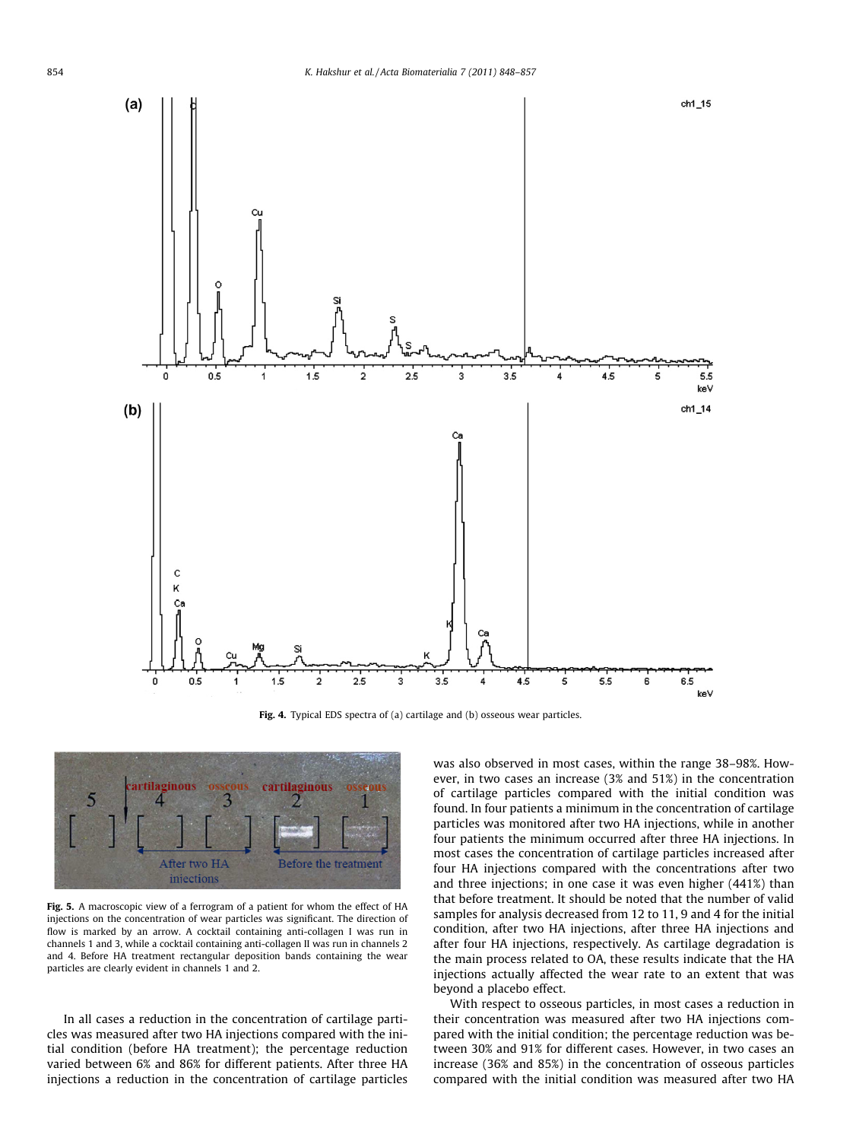<span id="page-6-0"></span>

Fig. 4. Typical EDS spectra of (a) cartilage and (b) osseous wear particles.



Fig. 5. A macroscopic view of a ferrogram of a patient for whom the effect of HA injections on the concentration of wear particles was significant. The direction of flow is marked by an arrow. A cocktail containing anti-collagen I was run in channels 1 and 3, while a cocktail containing anti-collagen II was run in channels 2 and 4. Before HA treatment rectangular deposition bands containing the wear particles are clearly evident in channels 1 and 2.

In all cases a reduction in the concentration of cartilage particles was measured after two HA injections compared with the initial condition (before HA treatment); the percentage reduction varied between 6% and 86% for different patients. After three HA injections a reduction in the concentration of cartilage particles was also observed in most cases, within the range 38–98%. However, in two cases an increase (3% and 51%) in the concentration of cartilage particles compared with the initial condition was found. In four patients a minimum in the concentration of cartilage particles was monitored after two HA injections, while in another four patients the minimum occurred after three HA injections. In most cases the concentration of cartilage particles increased after four HA injections compared with the concentrations after two and three injections; in one case it was even higher (441%) than that before treatment. It should be noted that the number of valid samples for analysis decreased from 12 to 11, 9 and 4 for the initial condition, after two HA injections, after three HA injections and after four HA injections, respectively. As cartilage degradation is the main process related to OA, these results indicate that the HA injections actually affected the wear rate to an extent that was beyond a placebo effect.

With respect to osseous particles, in most cases a reduction in their concentration was measured after two HA injections compared with the initial condition; the percentage reduction was between 30% and 91% for different cases. However, in two cases an increase (36% and 85%) in the concentration of osseous particles compared with the initial condition was measured after two HA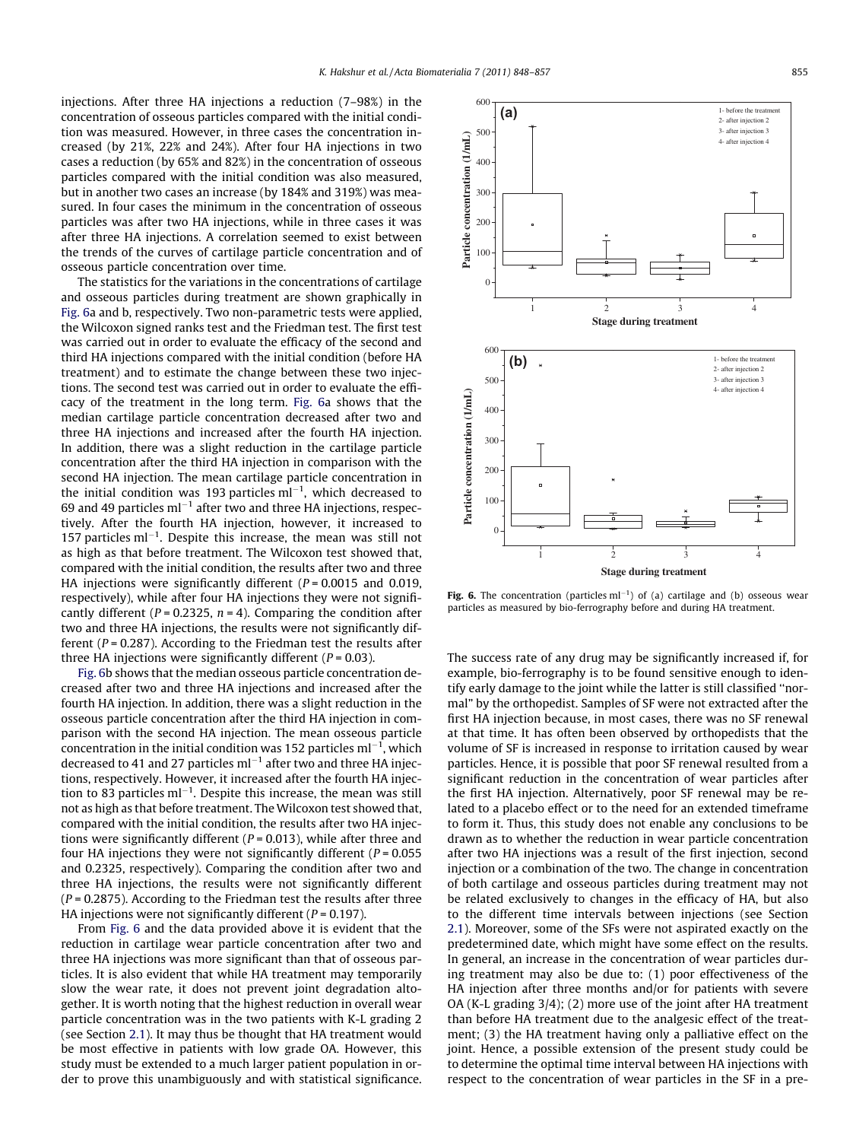injections. After three HA injections a reduction (7–98%) in the concentration of osseous particles compared with the initial condition was measured. However, in three cases the concentration increased (by 21%, 22% and 24%). After four HA injections in two cases a reduction (by 65% and 82%) in the concentration of osseous particles compared with the initial condition was also measured, but in another two cases an increase (by 184% and 319%) was measured. In four cases the minimum in the concentration of osseous particles was after two HA injections, while in three cases it was after three HA injections. A correlation seemed to exist between the trends of the curves of cartilage particle concentration and of osseous particle concentration over time.

The statistics for the variations in the concentrations of cartilage and osseous particles during treatment are shown graphically in Fig. 6a and b, respectively. Two non-parametric tests were applied, the Wilcoxon signed ranks test and the Friedman test. The first test was carried out in order to evaluate the efficacy of the second and third HA injections compared with the initial condition (before HA treatment) and to estimate the change between these two injections. The second test was carried out in order to evaluate the efficacy of the treatment in the long term. Fig. 6a shows that the median cartilage particle concentration decreased after two and three HA injections and increased after the fourth HA injection. In addition, there was a slight reduction in the cartilage particle concentration after the third HA injection in comparison with the second HA injection. The mean cartilage particle concentration in the initial condition was 193 particles  $ml^{-1}$ , which decreased to 69 and 49 particles  $ml^{-1}$  after two and three HA injections, respectively. After the fourth HA injection, however, it increased to  $157$  particles m $1^{-1}$ . Despite this increase, the mean was still not as high as that before treatment. The Wilcoxon test showed that, compared with the initial condition, the results after two and three HA injections were significantly different  $(P = 0.0015$  and 0.019, respectively), while after four HA injections they were not significantly different ( $P = 0.2325$ ,  $n = 4$ ). Comparing the condition after two and three HA injections, the results were not significantly different ( $P = 0.287$ ). According to the Friedman test the results after three HA injections were significantly different ( $P = 0.03$ ).

Fig. 6b shows that the median osseous particle concentration decreased after two and three HA injections and increased after the fourth HA injection. In addition, there was a slight reduction in the osseous particle concentration after the third HA injection in comparison with the second HA injection. The mean osseous particle concentration in the initial condition was 152 particles ml $^{-1}$ , which decreased to 41 and 27 particles  $\mathrm{ml^{-1}}$  after two and three HA injections, respectively. However, it increased after the fourth HA injection to 83 particles ml<sup> $-1$ </sup>. Despite this increase, the mean was still not as high as that before treatment. The Wilcoxon test showed that, compared with the initial condition, the results after two HA injections were significantly different ( $P = 0.013$ ), while after three and four HA injections they were not significantly different ( $P = 0.055$ ) and 0.2325, respectively). Comparing the condition after two and three HA injections, the results were not significantly different  $(P = 0.2875)$ . According to the Friedman test the results after three HA injections were not significantly different ( $P = 0.197$ ).

From Fig. 6 and the data provided above it is evident that the reduction in cartilage wear particle concentration after two and three HA injections was more significant than that of osseous particles. It is also evident that while HA treatment may temporarily slow the wear rate, it does not prevent joint degradation altogether. It is worth noting that the highest reduction in overall wear particle concentration was in the two patients with K-L grading 2 (see Section [2.1](#page-1-0)). It may thus be thought that HA treatment would be most effective in patients with low grade OA. However, this study must be extended to a much larger patient population in order to prove this unambiguously and with statistical significance.



Fig. 6. The concentration (particles  $ml^{-1}$ ) of (a) cartilage and (b) osseous wear particles as measured by bio-ferrography before and during HA treatment.

The success rate of any drug may be significantly increased if, for example, bio-ferrography is to be found sensitive enough to identify early damage to the joint while the latter is still classified ''normal" by the orthopedist. Samples of SF were not extracted after the first HA injection because, in most cases, there was no SF renewal at that time. It has often been observed by orthopedists that the volume of SF is increased in response to irritation caused by wear particles. Hence, it is possible that poor SF renewal resulted from a significant reduction in the concentration of wear particles after the first HA injection. Alternatively, poor SF renewal may be related to a placebo effect or to the need for an extended timeframe to form it. Thus, this study does not enable any conclusions to be drawn as to whether the reduction in wear particle concentration after two HA injections was a result of the first injection, second injection or a combination of the two. The change in concentration of both cartilage and osseous particles during treatment may not be related exclusively to changes in the efficacy of HA, but also to the different time intervals between injections (see Section [2.1\)](#page-1-0). Moreover, some of the SFs were not aspirated exactly on the predetermined date, which might have some effect on the results. In general, an increase in the concentration of wear particles during treatment may also be due to: (1) poor effectiveness of the HA injection after three months and/or for patients with severe OA (K-L grading 3/4); (2) more use of the joint after HA treatment than before HA treatment due to the analgesic effect of the treatment; (3) the HA treatment having only a palliative effect on the joint. Hence, a possible extension of the present study could be to determine the optimal time interval between HA injections with respect to the concentration of wear particles in the SF in a pre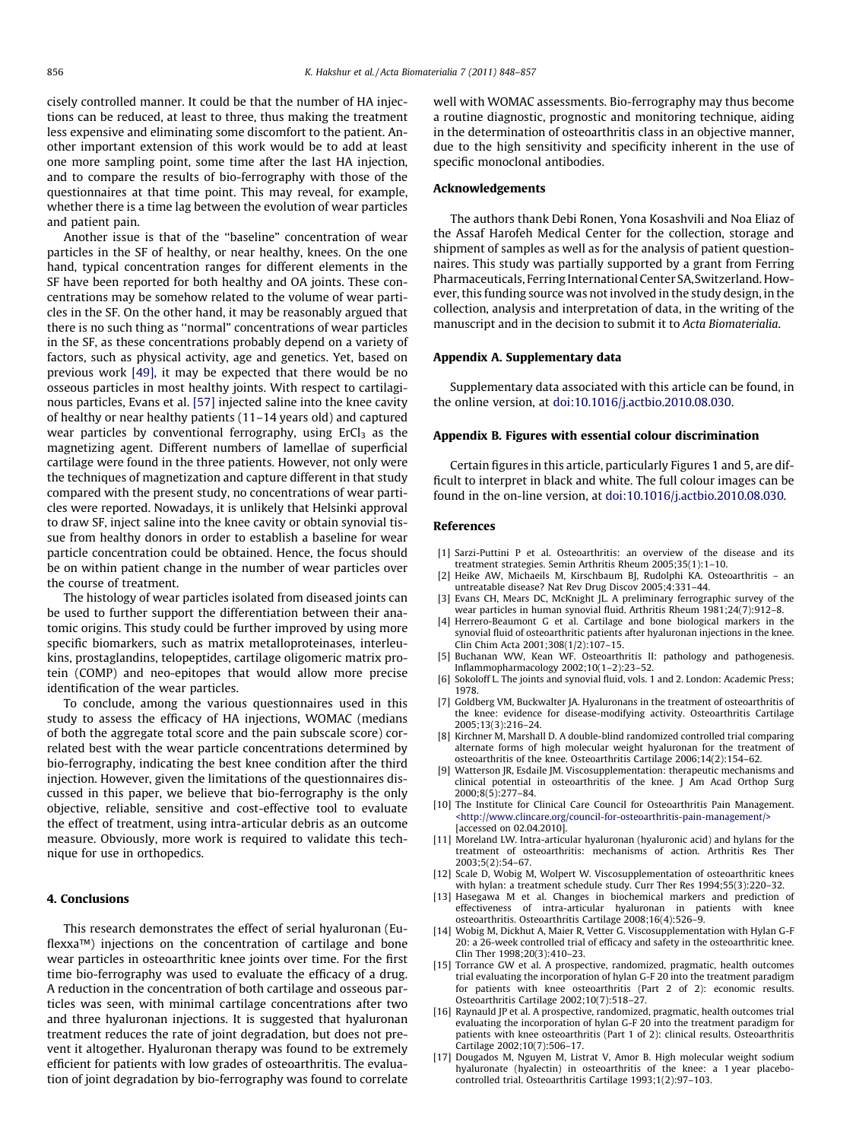<span id="page-8-0"></span>cisely controlled manner. It could be that the number of HA injections can be reduced, at least to three, thus making the treatment less expensive and eliminating some discomfort to the patient. Another important extension of this work would be to add at least one more sampling point, some time after the last HA injection, and to compare the results of bio-ferrography with those of the questionnaires at that time point. This may reveal, for example, whether there is a time lag between the evolution of wear particles and patient pain.

Another issue is that of the ''baseline" concentration of wear particles in the SF of healthy, or near healthy, knees. On the one hand, typical concentration ranges for different elements in the SF have been reported for both healthy and OA joints. These concentrations may be somehow related to the volume of wear particles in the SF. On the other hand, it may be reasonably argued that there is no such thing as ''normal" concentrations of wear particles in the SF, as these concentrations probably depend on a variety of factors, such as physical activity, age and genetics. Yet, based on previous work [\[49\]](#page-9-0), it may be expected that there would be no osseous particles in most healthy joints. With respect to cartilaginous particles, Evans et al. [\[57\]](#page-9-0) injected saline into the knee cavity of healthy or near healthy patients (11–14 years old) and captured wear particles by conventional ferrography, using  $E rCl<sub>3</sub>$  as the magnetizing agent. Different numbers of lamellae of superficial cartilage were found in the three patients. However, not only were the techniques of magnetization and capture different in that study compared with the present study, no concentrations of wear particles were reported. Nowadays, it is unlikely that Helsinki approval to draw SF, inject saline into the knee cavity or obtain synovial tissue from healthy donors in order to establish a baseline for wear particle concentration could be obtained. Hence, the focus should be on within patient change in the number of wear particles over the course of treatment.

The histology of wear particles isolated from diseased joints can be used to further support the differentiation between their anatomic origins. This study could be further improved by using more specific biomarkers, such as matrix metalloproteinases, interleukins, prostaglandins, telopeptides, cartilage oligomeric matrix protein (COMP) and neo-epitopes that would allow more precise identification of the wear particles.

To conclude, among the various questionnaires used in this study to assess the efficacy of HA injections, WOMAC (medians of both the aggregate total score and the pain subscale score) correlated best with the wear particle concentrations determined by bio-ferrography, indicating the best knee condition after the third injection. However, given the limitations of the questionnaires discussed in this paper, we believe that bio-ferrography is the only objective, reliable, sensitive and cost-effective tool to evaluate the effect of treatment, using intra-articular debris as an outcome measure. Obviously, more work is required to validate this technique for use in orthopedics.

## 4. Conclusions

This research demonstrates the effect of serial hyaluronan (Euflexxa™) injections on the concentration of cartilage and bone wear particles in osteoarthritic knee joints over time. For the first time bio-ferrography was used to evaluate the efficacy of a drug. A reduction in the concentration of both cartilage and osseous particles was seen, with minimal cartilage concentrations after two and three hyaluronan injections. It is suggested that hyaluronan treatment reduces the rate of joint degradation, but does not prevent it altogether. Hyaluronan therapy was found to be extremely efficient for patients with low grades of osteoarthritis. The evaluation of joint degradation by bio-ferrography was found to correlate well with WOMAC assessments. Bio-ferrography may thus become a routine diagnostic, prognostic and monitoring technique, aiding in the determination of osteoarthritis class in an objective manner, due to the high sensitivity and specificity inherent in the use of specific monoclonal antibodies.

#### Acknowledgements

The authors thank Debi Ronen, Yona Kosashvili and Noa Eliaz of the Assaf Harofeh Medical Center for the collection, storage and shipment of samples as well as for the analysis of patient questionnaires. This study was partially supported by a grant from Ferring Pharmaceuticals, Ferring International Center SA,Switzerland. However, this funding source was not involved in the study design, in the collection, analysis and interpretation of data, in the writing of the manuscript and in the decision to submit it to Acta Biomaterialia.

## Appendix A. Supplementary data

Supplementary data associated with this article can be found, in the online version, at [doi:10.1016/j.actbio.2010.08.030.](http://dx.doi.org/10.1016/j.actbio.2010.08.030)

#### Appendix B. Figures with essential colour discrimination

Certain figures in this article, particularly Figures 1 and 5, are difficult to interpret in black and white. The full colour images can be found in the on-line version, at [doi:10.1016/j.actbio.2010.08.030](http://dx.doi.org/10.1016/j.actbio.2010.08.030).

# References

- [1] Sarzi-Puttini P et al. Osteoarthritis: an overview of the disease and its treatment strategies. Semin Arthritis Rheum 2005;35(1):1–10.
- [2] Heike AW, Michaeils M, Kirschbaum BJ, Rudolphi KA. Osteoarthritis an untreatable disease? Nat Rev Drug Discov 2005;4:331–44.
- Evans CH, Mears DC, McKnight JL. A preliminary ferrographic survey of the wear particles in human synovial fluid. Arthritis Rheum 1981;24(7):912–8.
- [4] Herrero-Beaumont G et al. Cartilage and bone biological markers in the synovial fluid of osteoarthritic patients after hyaluronan injections in the knee. Clin Chim Acta 2001;308(1/2):107–15.
- [5] Buchanan WW, Kean WF. Osteoarthritis II: pathology and pathogenesis. Inflammopharmacology 2002;10(1–2):23–52.
- [6] Sokoloff L. The joints and synovial fluid, vols. 1 and 2. London: Academic Press; 1978.
- [7] Goldberg VM, Buckwalter JA. Hyaluronans in the treatment of osteoarthritis of the knee: evidence for disease-modifying activity. Osteoarthritis Cartilage 2005;13(3):216–24.
- [8] Kirchner M, Marshall D. A double-blind randomized controlled trial comparing alternate forms of high molecular weight hyaluronan for the treatment of osteoarthritis of the knee. Osteoarthritis Cartilage 2006;14(2):154–62.
- Watterson JR, Esdaile JM. Viscosupplementation: therapeutic mechanisms and clinical potential in osteoarthritis of the knee. J Am Acad Orthop Surg 2000;8(5):277–84.
- [10] The Institute for Clinical Care Council for Osteoarthritis Pain Management. [<http://www.clincare.org/council-for-osteoarthritis-pain-management/>](http://www.clincare.org/council-for-osteoarthritis-pain-management/) [accessed on 02.04.2010].
- [11] Moreland LW. Intra-articular hyaluronan (hyaluronic acid) and hylans for the treatment of osteoarthritis: mechanisms of action. Arthritis Res Ther 2003;5(2):54–67.
- [12] Scale D, Wobig M, Wolpert W. Viscosupplementation of osteoarthritic knees with hylan: a treatment schedule study. Curr Ther Res 1994;55(3):220–32.
- [13] Hasegawa M et al. Changes in biochemical markers and prediction of effectiveness of intra-articular hyaluronan in patients with knee osteoarthritis. Osteoarthritis Cartilage 2008;16(4):526–9.
- [14] Wobig M, Dickhut A, Maier R, Vetter G. Viscosupplementation with Hylan G-F 20: a 26-week controlled trial of efficacy and safety in the osteoarthritic knee. Clin Ther 1998;20(3):410–23.
- [15] Torrance GW et al. A prospective, randomized, pragmatic, health outcomes trial evaluating the incorporation of hylan G-F 20 into the treatment paradigm for patients with knee osteoarthritis (Part 2 of 2): economic results. Osteoarthritis Cartilage 2002;10(7):518–27.
- [16] Raynauld JP et al. A prospective, randomized, pragmatic, health outcomes trial evaluating the incorporation of hylan G-F 20 into the treatment paradigm for patients with knee osteoarthritis (Part 1 of 2): clinical results. Osteoarthritis Cartilage 2002;10(7):506–17.
- [17] Dougados M, Nguyen M, Listrat V, Amor B. High molecular weight sodium hyaluronate (hyalectin) in osteoarthritis of the knee: a 1 year placebocontrolled trial. Osteoarthritis Cartilage 1993;1(2):97–103.